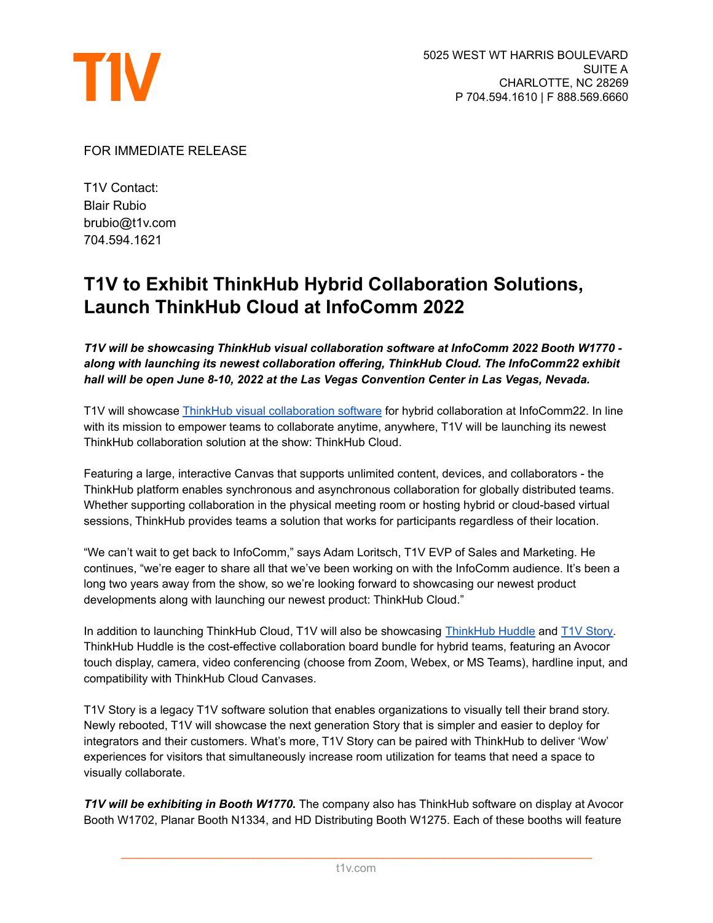

FOR IMMEDIATE RELEASE

T1V Contact: Blair Rubio brubio@t1v.com 704.594.1621

## **T1V to Exhibit ThinkHub Hybrid Collaboration Solutions, Launch ThinkHub Cloud at InfoComm 2022**

*T1V will be showcasing ThinkHub visual collaboration software at InfoComm 2022 Booth W1770 along with launching its newest collaboration offering, ThinkHub Cloud. The InfoComm22 exhibit hall will be open June 8-10, 2022 at the Las Vegas Convention Center in Las Vegas, Nevada.*

T1V will showcase ThinkHub visual [collaboration](https://www.t1v.com/thinkhub) software for hybrid collaboration at InfoComm22. In line with its mission to empower teams to collaborate anytime, anywhere, T1V will be launching its newest ThinkHub collaboration solution at the show: ThinkHub Cloud.

Featuring a large, interactive Canvas that supports unlimited content, devices, and collaborators - the ThinkHub platform enables synchronous and asynchronous collaboration for globally distributed teams. Whether supporting collaboration in the physical meeting room or hosting hybrid or cloud-based virtual sessions, ThinkHub provides teams a solution that works for participants regardless of their location.

"We can't wait to get back to InfoComm," says Adam Loritsch, T1V EVP of Sales and Marketing. He continues, "we're eager to share all that we've been working on with the InfoComm audience. It's been a long two years away from the show, so we're looking forward to showcasing our newest product developments along with launching our newest product: ThinkHub Cloud."

In addition to launching ThinkHub Cloud, T1V will also be showcasing [ThinkHub](https://www.t1v.com/thinkhub-huddle) Huddle and T1V [Story.](https://www.t1v.com/story) ThinkHub Huddle is the cost-effective collaboration board bundle for hybrid teams, featuring an Avocor touch display, camera, video conferencing (choose from Zoom, Webex, or MS Teams), hardline input, and compatibility with ThinkHub Cloud Canvases.

T1V Story is a legacy T1V software solution that enables organizations to visually tell their brand story. Newly rebooted, T1V will showcase the next generation Story that is simpler and easier to deploy for integrators and their customers. What's more, T1V Story can be paired with ThinkHub to deliver 'Wow' experiences for visitors that simultaneously increase room utilization for teams that need a space to visually collaborate.

*T1V will be exhibiting in Booth W1770.* The company also has ThinkHub software on display at Avocor Booth W1702, Planar Booth N1334, and HD Distributing Booth W1275. Each of these booths will feature